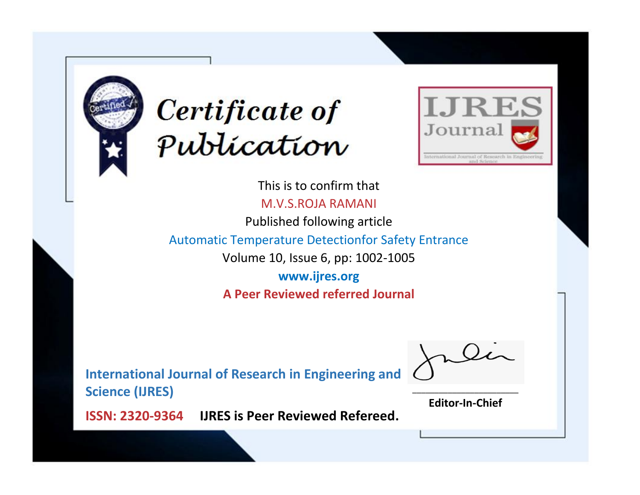



This is to confirm that M.V.S.ROJA RAMANI

Published following article

Automatic Temperature Detectionfor Safety Entrance

Volume 10, Issue 6, pp: 1002-1005

**www.ijres.org A Peer Reviewed referred Journal**

**International Journal of Research in Engineering and Science (IJRES)**

\_\_\_\_\_\_\_\_\_\_\_\_\_\_\_\_\_\_\_\_\_\_\_\_ **Editor-In-Chief**

**Journal.**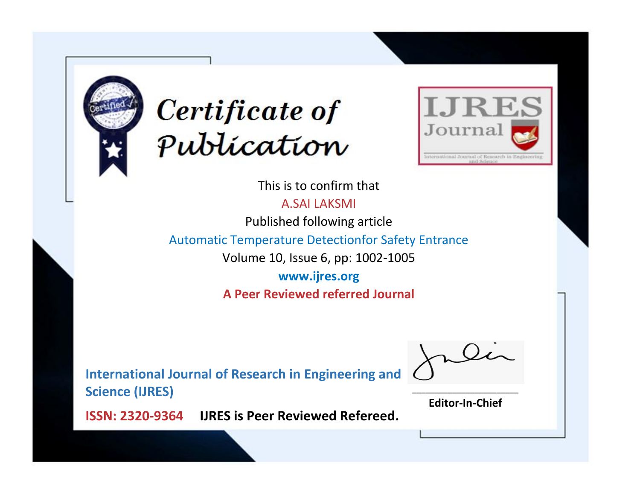



This is to confirm that

A.SAI LAKSMI

Published following article

Automatic Temperature Detectionfor Safety Entrance

Volume 10, Issue 6, pp: 1002-1005

**www.ijres.org A Peer Reviewed referred Journal**

**International Journal of Research in Engineering and Science (IJRES)**

\_\_\_\_\_\_\_\_\_\_\_\_\_\_\_\_\_\_\_\_\_\_\_\_ **Editor-In-Chief**

**Journal.**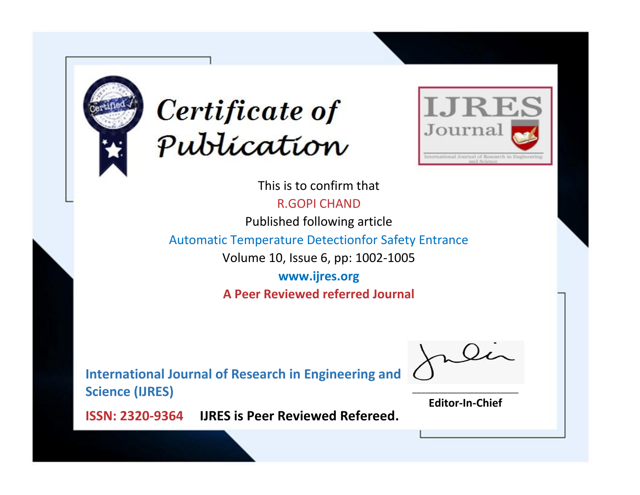



This is to confirm that R.GOPI CHAND

Published following article

Automatic Temperature Detectionfor Safety Entrance

Volume 10, Issue 6, pp: 1002-1005

**www.ijres.org A Peer Reviewed referred Journal**

**International Journal of Research in Engineering and Science (IJRES)**

\_\_\_\_\_\_\_\_\_\_\_\_\_\_\_\_\_\_\_\_\_\_\_\_ **Editor-In-Chief**

**Journal.**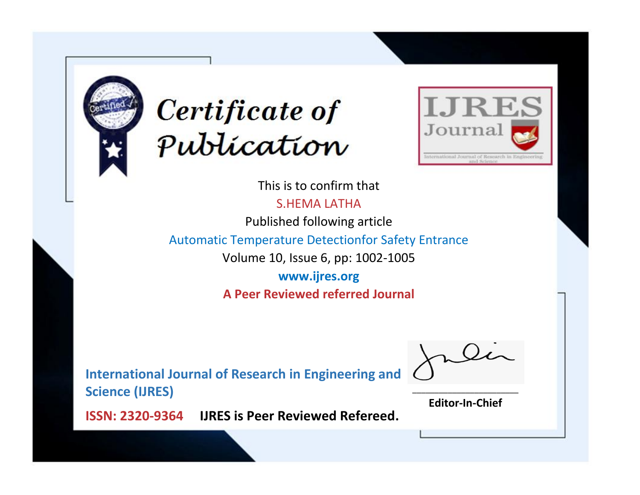



This is to confirm that S.HEMA LATHA

Published following article

Automatic Temperature Detectionfor Safety Entrance

Volume 10, Issue 6, pp: 1002-1005

**www.ijres.org A Peer Reviewed referred Journal**

**International Journal of Research in Engineering and Science (IJRES)**

\_\_\_\_\_\_\_\_\_\_\_\_\_\_\_\_\_\_\_\_\_\_\_\_ **Editor-In-Chief**

**Journal.**